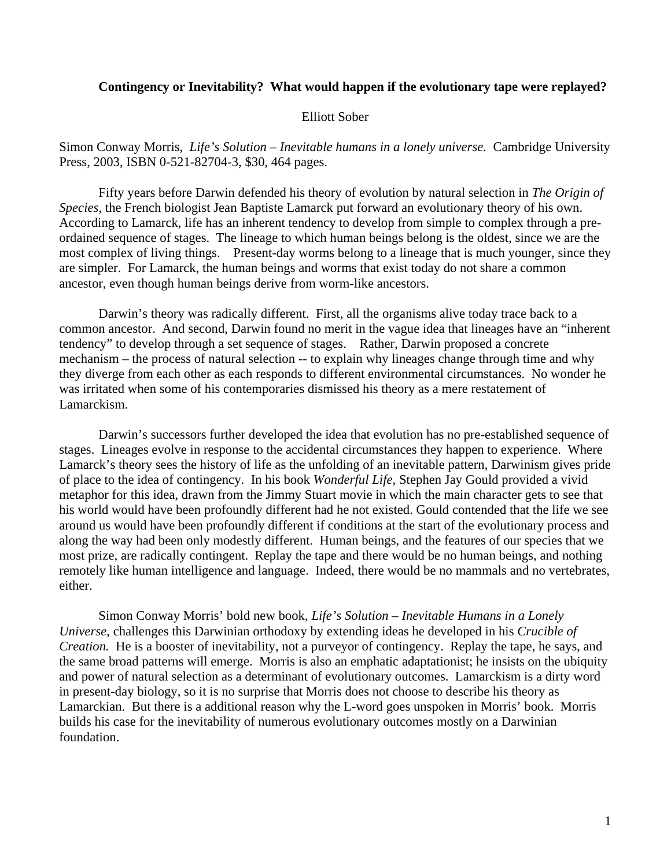## **Contingency or Inevitability? What would happen if the evolutionary tape were replayed?**

## Elliott Sober

Simon Conway Morris, *Life's Solution – Inevitable humans in a lonely universe.* Cambridge University Press, 2003, ISBN 0-521-82704-3, \$30, 464 pages.

Fifty years before Darwin defended his theory of evolution by natural selection in *The Origin of Species*, the French biologist Jean Baptiste Lamarck put forward an evolutionary theory of his own. According to Lamarck, life has an inherent tendency to develop from simple to complex through a preordained sequence of stages. The lineage to which human beings belong is the oldest, since we are the most complex of living things. Present-day worms belong to a lineage that is much younger, since they are simpler. For Lamarck, the human beings and worms that exist today do not share a common ancestor, even though human beings derive from worm-like ancestors.

Darwin's theory was radically different. First, all the organisms alive today trace back to a common ancestor. And second, Darwin found no merit in the vague idea that lineages have an "inherent tendency" to develop through a set sequence of stages. Rather, Darwin proposed a concrete mechanism – the process of natural selection -- to explain why lineages change through time and why they diverge from each other as each responds to different environmental circumstances. No wonder he was irritated when some of his contemporaries dismissed his theory as a mere restatement of Lamarckism.

Darwin's successors further developed the idea that evolution has no pre-established sequence of stages. Lineages evolve in response to the accidental circumstances they happen to experience. Where Lamarck's theory sees the history of life as the unfolding of an inevitable pattern, Darwinism gives pride of place to the idea of contingency. In his book *Wonderful Life*, Stephen Jay Gould provided a vivid metaphor for this idea, drawn from the Jimmy Stuart movie in which the main character gets to see that his world would have been profoundly different had he not existed. Gould contended that the life we see around us would have been profoundly different if conditions at the start of the evolutionary process and along the way had been only modestly different. Human beings, and the features of our species that we most prize, are radically contingent. Replay the tape and there would be no human beings, and nothing remotely like human intelligence and language. Indeed, there would be no mammals and no vertebrates, either.

Simon Conway Morris' bold new book, *Life's Solution – Inevitable Humans in a Lonely Universe*, challenges this Darwinian orthodoxy by extending ideas he developed in his *Crucible of Creation.* He is a booster of inevitability, not a purveyor of contingency. Replay the tape, he says, and the same broad patterns will emerge. Morris is also an emphatic adaptationist; he insists on the ubiquity and power of natural selection as a determinant of evolutionary outcomes. Lamarckism is a dirty word in present-day biology, so it is no surprise that Morris does not choose to describe his theory as Lamarckian. But there is a additional reason why the L-word goes unspoken in Morris' book. Morris builds his case for the inevitability of numerous evolutionary outcomes mostly on a Darwinian foundation.